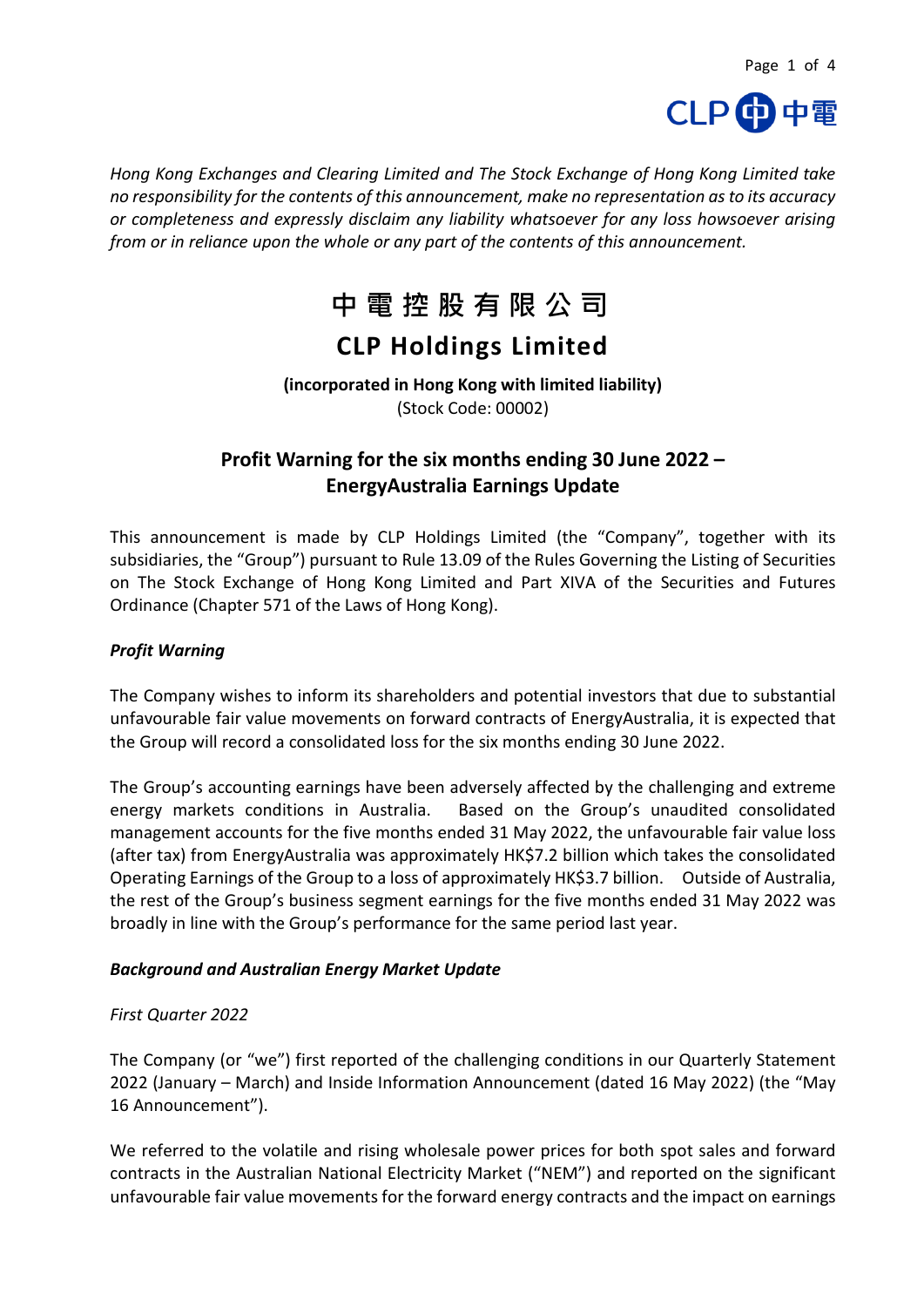

*Hong Kong Exchanges and Clearing Limited and The Stock Exchange of Hong Kong Limited take no responsibility for the contents of this announcement, make no representation as to its accuracy or completeness and expressly disclaim any liability whatsoever for any loss howsoever arising from or in reliance upon the whole or any part of the contents of this announcement.*

# **中電控股有限公司 CLP Holdings Limited**

#### **(incorporated in Hong Kong with limited liability)** (Stock Code: 00002)

### **Profit Warning for the six months ending 30 June 2022 – EnergyAustralia Earnings Update**

This announcement is made by CLP Holdings Limited (the "Company", together with its subsidiaries, the "Group") pursuant to Rule 13.09 of the Rules Governing the Listing of Securities on The Stock Exchange of Hong Kong Limited and Part XIVA of the Securities and Futures Ordinance (Chapter 571 of the Laws of Hong Kong).

#### *Profit Warning*

The Company wishes to inform its shareholders and potential investors that due to substantial unfavourable fair value movements on forward contracts of EnergyAustralia, it is expected that the Group will record a consolidated loss for the six months ending 30 June 2022.

The Group's accounting earnings have been adversely affected by the challenging and extreme energy markets conditions in Australia. Based on the Group's unaudited consolidated management accounts for the five months ended 31 May 2022, the unfavourable fair value loss (after tax) from EnergyAustralia was approximately HK\$7.2 billion which takes the consolidated Operating Earnings of the Group to a loss of approximately HK\$3.7 billion. Outside of Australia, the rest of the Group's business segment earnings for the five months ended 31 May 2022 was broadly in line with the Group's performance for the same period last year.

#### *Background and Australian Energy Market Update*

#### *First Quarter 2022*

The Company (or "we") first reported of the challenging conditions in our Quarterly Statement 2022 (January – March) and Inside Information Announcement (dated 16 May 2022) (the "May 16 Announcement").

We referred to the volatile and rising wholesale power prices for both spot sales and forward contracts in the Australian National Electricity Market ("NEM") and reported on the significant unfavourable fair value movements for the forward energy contracts and the impact on earnings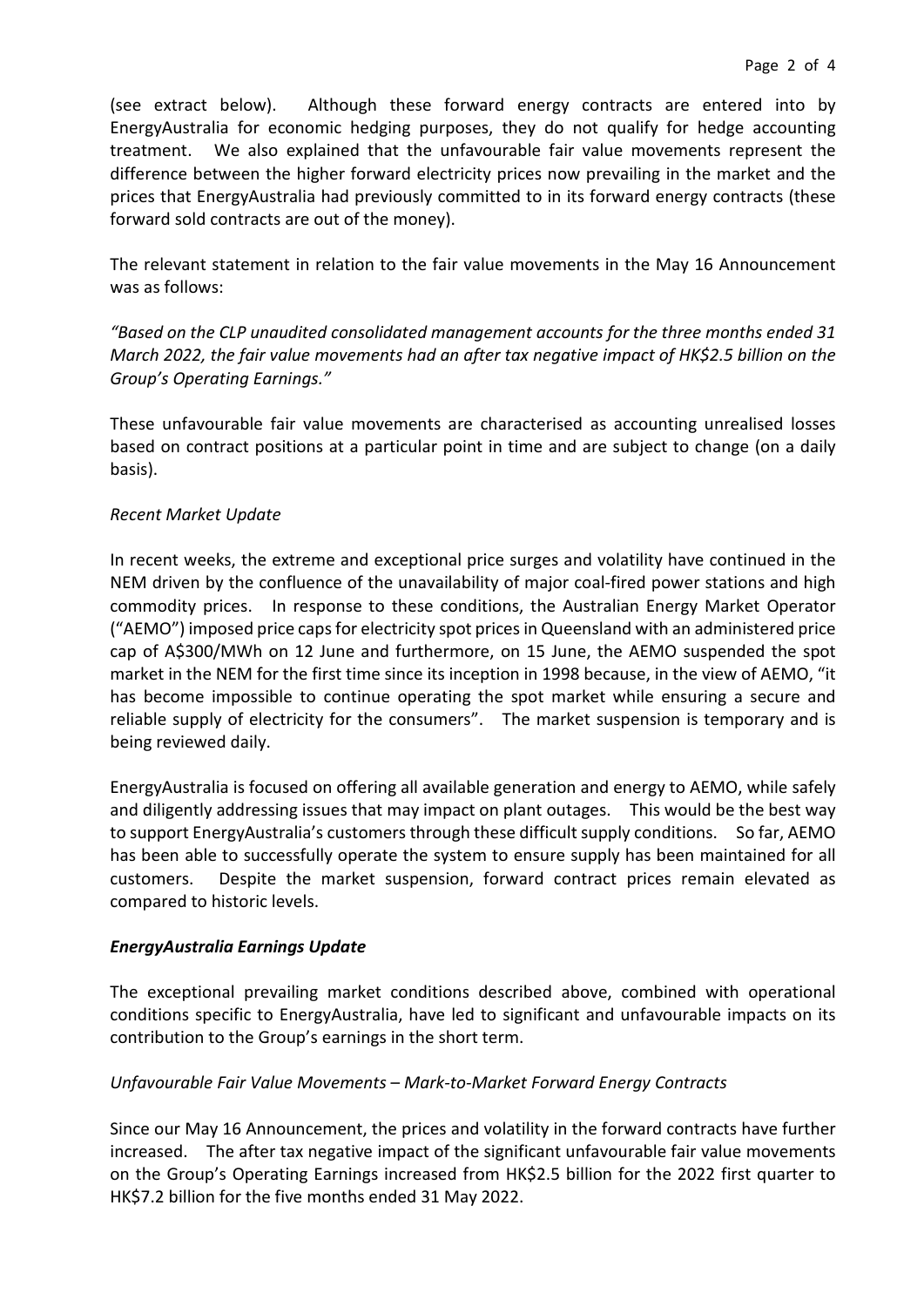(see extract below). Although these forward energy contracts are entered into by EnergyAustralia for economic hedging purposes, they do not qualify for hedge accounting treatment. We also explained that the unfavourable fair value movements represent the difference between the higher forward electricity prices now prevailing in the market and the prices that EnergyAustralia had previously committed to in its forward energy contracts (these forward sold contracts are out of the money).

The relevant statement in relation to the fair value movements in the May 16 Announcement was as follows:

*"Based on the CLP unaudited consolidated management accounts for the three months ended 31 March 2022, the fair value movements had an after tax negative impact of HK\$2.5 billion on the Group's Operating Earnings."*

These unfavourable fair value movements are characterised as accounting unrealised losses based on contract positions at a particular point in time and are subject to change (on a daily basis).

#### *Recent Market Update*

In recent weeks, the extreme and exceptional price surges and volatility have continued in the NEM driven by the confluence of the unavailability of major coal-fired power stations and high commodity prices. In response to these conditions, the Australian Energy Market Operator ("AEMO") imposed price caps for electricity spot prices in Queensland with an administered price cap of A\$300/MWh on 12 June and furthermore, on 15 June, the AEMO suspended the spot market in the NEM for the first time since its inception in 1998 because, in the view of AEMO, "it has become impossible to continue operating the spot market while ensuring a secure and reliable supply of electricity for the consumers". The market suspension is temporary and is being reviewed daily.

EnergyAustralia is focused on offering all available generation and energy to AEMO, while safely and diligently addressing issues that may impact on plant outages. This would be the best way to support EnergyAustralia's customers through these difficult supply conditions. So far, AEMO has been able to successfully operate the system to ensure supply has been maintained for all customers. Despite the market suspension, forward contract prices remain elevated as compared to historic levels.

#### *EnergyAustralia Earnings Update*

The exceptional prevailing market conditions described above, combined with operational conditions specific to EnergyAustralia, have led to significant and unfavourable impacts on its contribution to the Group's earnings in the short term.

#### *Unfavourable Fair Value Movements* – *Mark-to-Market Forward Energy Contracts*

Since our May 16 Announcement, the prices and volatility in the forward contracts have further increased. The after tax negative impact of the significant unfavourable fair value movements on the Group's Operating Earnings increased from HK\$2.5 billion for the 2022 first quarter to HK\$7.2 billion for the five months ended 31 May 2022.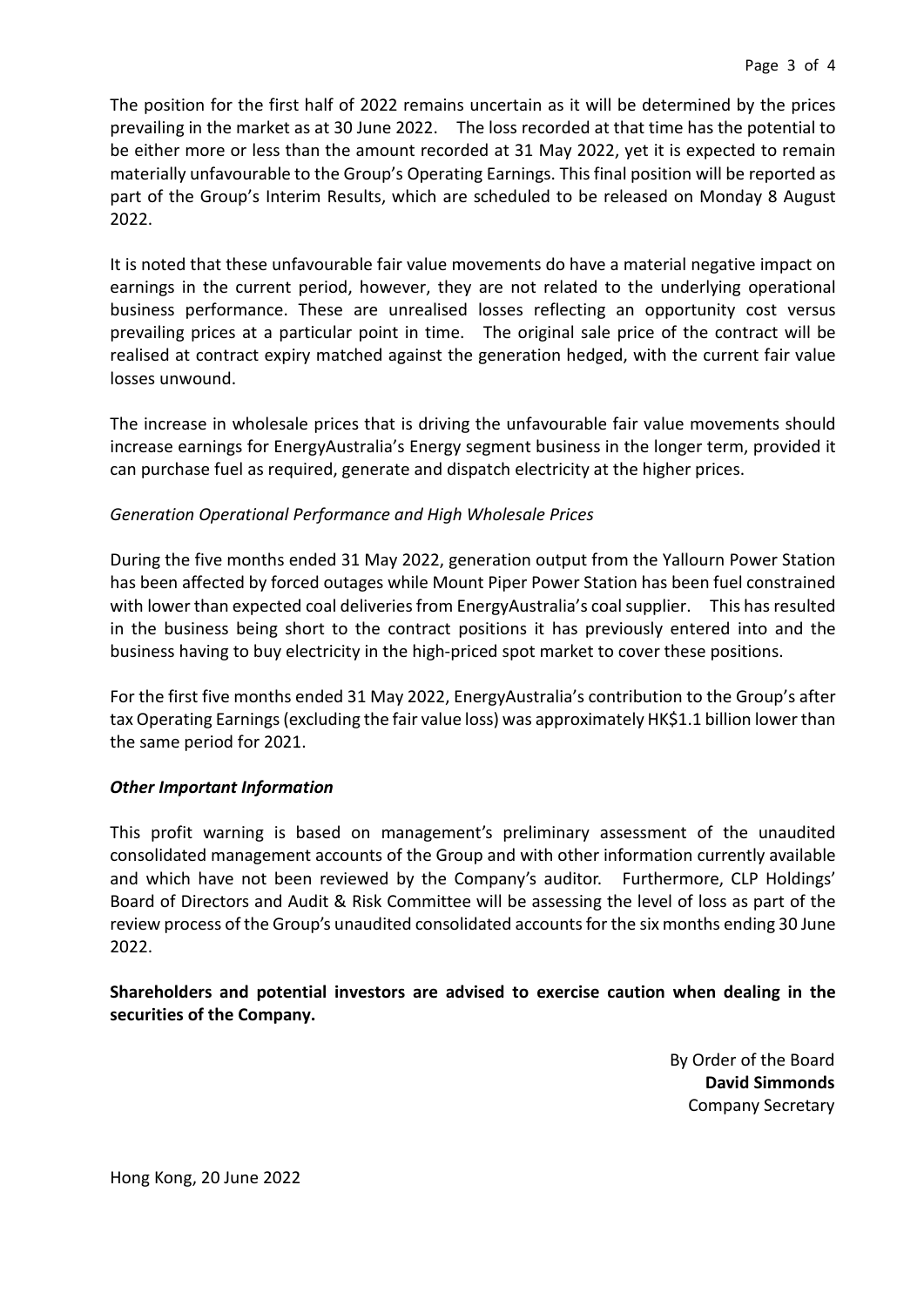The position for the first half of 2022 remains uncertain as it will be determined by the prices prevailing in the market as at 30 June 2022. The loss recorded at that time has the potential to be either more or less than the amount recorded at 31 May 2022, yet it is expected to remain materially unfavourable to the Group's Operating Earnings. This final position will be reported as part of the Group's Interim Results, which are scheduled to be released on Monday 8 August 2022.

It is noted that these unfavourable fair value movements do have a material negative impact on earnings in the current period, however, they are not related to the underlying operational business performance. These are unrealised losses reflecting an opportunity cost versus prevailing prices at a particular point in time. The original sale price of the contract will be realised at contract expiry matched against the generation hedged, with the current fair value losses unwound.

The increase in wholesale prices that is driving the unfavourable fair value movements should increase earnings for EnergyAustralia's Energy segment business in the longer term, provided it can purchase fuel as required, generate and dispatch electricity at the higher prices.

#### *Generation Operational Performance and High Wholesale Prices*

During the five months ended 31 May 2022, generation output from the Yallourn Power Station has been affected by forced outages while Mount Piper Power Station has been fuel constrained with lower than expected coal deliveries from EnergyAustralia's coal supplier. This has resulted in the business being short to the contract positions it has previously entered into and the business having to buy electricity in the high-priced spot market to cover these positions.

For the first five months ended 31 May 2022, EnergyAustralia's contribution to the Group's after tax Operating Earnings (excluding the fair value loss) was approximately HK\$1.1 billion lower than the same period for 2021.

#### *Other Important Information*

This profit warning is based on management's preliminary assessment of the unaudited consolidated management accounts of the Group and with other information currently available and which have not been reviewed by the Company's auditor. Furthermore, CLP Holdings' Board of Directors and Audit & Risk Committee will be assessing the level of loss as part of the review process of the Group's unaudited consolidated accounts for the six months ending 30 June 2022.

#### **Shareholders and potential investors are advised to exercise caution when dealing in the securities of the Company.**

By Order of the Board **David Simmonds** Company Secretary

Hong Kong, 20 June 2022